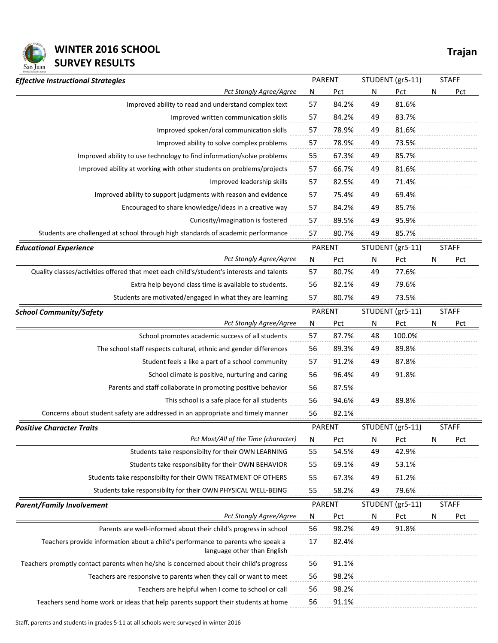

## **WINTER 2016 SCHOOL Trajan SURVEY RESULTS**

| Pct Stongly Agree/Agree<br>Improved ability to read and understand complex text                                | N                       |               |                         |                  |              |              |  |
|----------------------------------------------------------------------------------------------------------------|-------------------------|---------------|-------------------------|------------------|--------------|--------------|--|
|                                                                                                                |                         | Pct           | $\overline{\mathsf{N}}$ | Pct              | N            | <b>Pct</b>   |  |
|                                                                                                                | 57                      | 84.2%         | 49                      | 81.6%            |              |              |  |
| Improved written communication skills                                                                          | 57                      | 84.2%         | 49                      | 83.7%            |              |              |  |
| Improved spoken/oral communication skills                                                                      | 57                      | 78.9%         | 49                      | 81.6%            |              |              |  |
| Improved ability to solve complex problems                                                                     | 57                      | 78.9%         | 49                      | 73.5%            |              |              |  |
| Improved ability to use technology to find information/solve problems                                          | 55                      | 67.3%         | 49                      | 85.7%            |              |              |  |
| Improved ability at working with other students on problems/projects                                           | 57                      | 66.7%         | 49                      | 81.6%            |              |              |  |
| Improved leadership skills                                                                                     | 57                      | 82.5%         | 49                      | 71.4%            |              |              |  |
| Improved ability to support judgments with reason and evidence                                                 | 57                      | 75.4%         | 49                      | 69.4%            |              |              |  |
| Encouraged to share knowledge/ideas in a creative way                                                          | 57                      | 84.2%         | 49                      | 85.7%            |              |              |  |
| Curiosity/imagination is fostered                                                                              | 57                      | 89.5%         | 49                      | 95.9%            |              |              |  |
| Students are challenged at school through high standards of academic performance                               | 57                      | 80.7%         | 49                      | 85.7%            |              |              |  |
| <b>Educational Experience</b>                                                                                  | <b>PARENT</b>           |               | STUDENT (gr5-11)        |                  | <b>STAFF</b> |              |  |
| Pct Stongly Agree/Agree                                                                                        | N                       | Pct           | N                       | Pct              | N            | Pct          |  |
| Quality classes/activities offered that meet each child's/student's interests and talents                      | 57                      | 80.7%         | 49                      | 77.6%            |              |              |  |
| Extra help beyond class time is available to students.                                                         | 56                      | 82.1%         | 49                      | 79.6%            |              |              |  |
| Students are motivated/engaged in what they are learning                                                       | 57                      | 80.7%         | 49                      | 73.5%            |              |              |  |
| <b>School Community/Safety</b>                                                                                 |                         | <b>PARENT</b> |                         | STUDENT (gr5-11) |              | <b>STAFF</b> |  |
| <b>Pct Stongly Agree/Agree</b>                                                                                 | $\overline{\mathsf{N}}$ | <b>Pct</b>    | $\overline{\mathsf{N}}$ | <b>Pct</b>       | N            | Pct          |  |
| School promotes academic success of all students                                                               | 57                      | 87.7%         | 48                      | 100.0%           |              |              |  |
| The school staff respects cultural, ethnic and gender differences                                              | 56                      | 89.3%         | 49                      | 89.8%            |              |              |  |
| Student feels a like a part of a school community                                                              | 57                      | 91.2%         | 49                      | 87.8%            |              |              |  |
| School climate is positive, nurturing and caring                                                               | 56                      | 96.4%         | 49                      | 91.8%            |              |              |  |
| Parents and staff collaborate in promoting positive behavior                                                   | 56                      | 87.5%         |                         |                  |              |              |  |
| This school is a safe place for all students                                                                   | 56                      | 94.6%         | 49                      | 89.8%            |              |              |  |
| Concerns about student safety are addressed in an appropriate and timely manner                                | 56                      | 82.1%         |                         |                  |              |              |  |
| <b>Positive Character Traits</b>                                                                               |                         | <b>PARENT</b> |                         | STUDENT (gr5-11) |              | <b>STAFF</b> |  |
| Pct Most/All of the Time (character)                                                                           | N                       | Pct           | N                       | Pct              | N            | Pct          |  |
| Students take responsibilty for their OWN LEARNING                                                             | 55                      | 54.5%         | 49                      | 42.9%            |              |              |  |
| Students take responsibilty for their OWN BEHAVIOR                                                             | 55                      | 69.1%         | 49                      | 53.1%            |              |              |  |
| Students take responsibilty for their OWN TREATMENT OF OTHERS                                                  | 55                      | 67.3%         | 49                      | 61.2%            |              |              |  |
| Students take responsibilty for their OWN PHYSICAL WELL-BEING                                                  | 55                      | 58.2%         | 49                      | 79.6%            |              |              |  |
| <b>Parent/Family Involvement</b>                                                                               |                         | PARENT        |                         | STUDENT (gr5-11) |              | <b>STAFF</b> |  |
| Pct Stongly Agree/Agree                                                                                        | N                       | Pct           | N                       | Pct              | N            | Pct          |  |
| Parents are well-informed about their child's progress in school                                               | 56                      | 98.2%         | 49                      | 91.8%            |              |              |  |
| Teachers provide information about a child's performance to parents who speak a<br>language other than English | 17                      | 82.4%         |                         |                  |              |              |  |
| Teachers promptly contact parents when he/she is concerned about their child's progress                        | 56                      | 91.1%         |                         |                  |              |              |  |
| Teachers are responsive to parents when they call or want to meet                                              | 56                      | 98.2%         |                         |                  |              |              |  |
| Teachers are helpful when I come to school or call                                                             | 56                      | 98.2%         |                         |                  |              |              |  |
| Teachers send home work or ideas that help parents support their students at home                              | 56                      | 91.1%         |                         |                  |              |              |  |

Staff, parents and students in grades 5-11 at all schools were surveyed in winter 2016